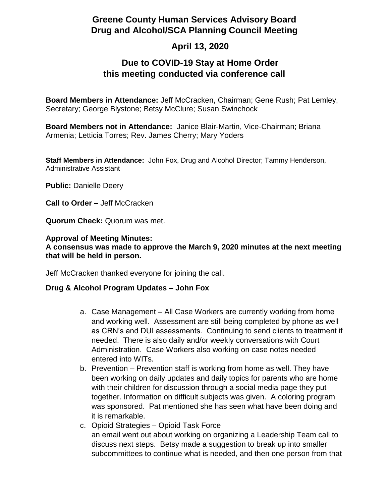# **Greene County Human Services Advisory Board Drug and Alcohol/SCA Planning Council Meeting**

# **April 13, 2020**

### **Due to COVID-19 Stay at Home Order this meeting conducted via conference call**

**Board Members in Attendance:** Jeff McCracken, Chairman; Gene Rush; Pat Lemley, Secretary; George Blystone; Betsy McClure; Susan Swinchock

**Board Members not in Attendance:** Janice Blair-Martin, Vice-Chairman; Briana Armenia; Letticia Torres; Rev. James Cherry; Mary Yoders

**Staff Members in Attendance:** John Fox, Drug and Alcohol Director; Tammy Henderson, Administrative Assistant

**Public:** Danielle Deery

**Call to Order –** Jeff McCracken

**Quorum Check:** Quorum was met.

#### **Approval of Meeting Minutes:**

### **A consensus was made to approve the March 9, 2020 minutes at the next meeting that will be held in person.**

Jeff McCracken thanked everyone for joining the call.

#### **Drug & Alcohol Program Updates – John Fox**

- a. Case Management All Case Workers are currently working from home and working well. Assessment are still being completed by phone as well as CRN's and DUI assessments. Continuing to send clients to treatment if needed. There is also daily and/or weekly conversations with Court Administration. Case Workers also working on case notes needed entered into WITs.
- b. Prevention Prevention staff is working from home as well. They have been working on daily updates and daily topics for parents who are home with their children for discussion through a social media page they put together. Information on difficult subjects was given. A coloring program was sponsored. Pat mentioned she has seen what have been doing and it is remarkable.
- c. Opioid Strategies Opioid Task Force an email went out about working on organizing a Leadership Team call to discuss next steps. Betsy made a suggestion to break up into smaller subcommittees to continue what is needed, and then one person from that